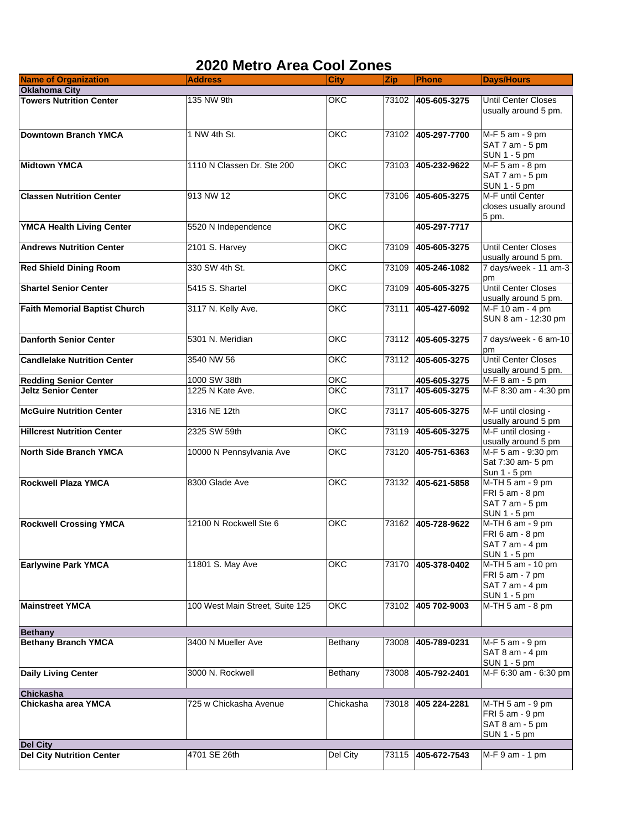## **2020 Metro Area Cool Zones**

| <b>Name of Organization</b>          | <b>Address</b>                  | <b>City</b> | <b>Zip</b> | Phone              | <b>Days/Hours</b>                                                          |
|--------------------------------------|---------------------------------|-------------|------------|--------------------|----------------------------------------------------------------------------|
| <b>Oklahoma City</b>                 |                                 |             |            |                    |                                                                            |
| <b>Towers Nutrition Center</b>       | 135 NW 9th                      | OKC         | 73102      | 405-605-3275       | <b>Until Center Closes</b><br>usually around 5 pm.                         |
| <b>Downtown Branch YMCA</b>          | 1 NW 4th St.                    | OKC         |            | 73102 405-297-7700 | M-F 5 am - 9 pm<br>SAT 7 am - 5 pm<br>SUN 1 - 5 pm                         |
| <b>Midtown YMCA</b>                  | 1110 N Classen Dr. Ste 200      | <b>OKC</b>  | 73103      | 405-232-9622       | M-F 5 am - 8 pm<br>SAT 7 am - 5 pm<br>SUN 1 - 5 pm                         |
| <b>Classen Nutrition Center</b>      | 913 NW 12                       | OKC         | 73106      | 405-605-3275       | M-F until Center<br>closes usually around<br>5 pm.                         |
| <b>YMCA Health Living Center</b>     | 5520 N Independence             | OKC         |            | 405-297-7717       |                                                                            |
| <b>Andrews Nutrition Center</b>      | 2101 S. Harvey                  | OKC         | 73109      | 405-605-3275       | <b>Until Center Closes</b><br>usually around 5 pm.                         |
| <b>Red Shield Dining Room</b>        | 330 SW 4th St.                  | OKC         | 73109      | 405-246-1082       | 7 days/week - 11 am-3<br>pm                                                |
| <b>Shartel Senior Center</b>         | 5415 S. Shartel                 | OKC         | 73109      | 405-605-3275       | Until Center Closes<br>usually around 5 pm.                                |
| <b>Faith Memorial Baptist Church</b> | 3117 N. Kelly Ave.              | <b>OKC</b>  | 73111      | 405-427-6092       | M-F 10 am - 4 pm<br>SUN 8 am - 12:30 pm                                    |
| <b>Danforth Senior Center</b>        | 5301 N. Meridian                | OKC         | 73112      | 405-605-3275       | 7 days/week - 6 am-10<br>pm                                                |
| <b>Candlelake Nutrition Center</b>   | 3540 NW 56                      | OKC         | 73112      | 405-605-3275       | Until Center Closes<br>usually around 5 pm.                                |
| <b>Redding Senior Center</b>         | 1000 SW 38th                    | OKC         |            | 405-605-3275       | $M-F8$ am - 5 pm                                                           |
| <b>Jeltz Senior Center</b>           | 1225 N Kate Ave.                | <b>OKC</b>  | 73117      | 405-605-3275       | M-F 8:30 am - 4:30 pm                                                      |
| <b>McGuire Nutrition Center</b>      | 1316 NE 12th                    | OKC         | 73117      | 405-605-3275       | M-F until closing -<br>usually around 5 pm                                 |
| <b>Hillcrest Nutrition Center</b>    | 2325 SW 59th                    | OKC         | 73119      | 405-605-3275       | M-F until closing -<br>usually around 5 pm                                 |
| <b>North Side Branch YMCA</b>        | 10000 N Pennsylvania Ave        | OKC         | 73120      | 405-751-6363       | M-F 5 am - 9:30 pm<br>Sat 7:30 am- 5 pm<br>Sun 1 - 5 pm                    |
| <b>Rockwell Plaza YMCA</b>           | 8300 Glade Ave                  | OKC         | 73132      | 405-621-5858       | $M-TH5$ am - $9$ pm<br>FRI 5 am - 8 pm<br>SAT 7 am - 5 pm<br>SUN 1 - 5 pm  |
| <b>Rockwell Crossing YMCA</b>        | 12100 N Rockwell Ste 6          | <b>OKC</b>  |            | 73162 405-728-9622 | $M-TH 6$ am - $9$ pm<br>FRI 6 am - 8 pm<br>SAT 7 am - 4 pm<br>SUN 1 - 5 pm |
| <b>Earlywine Park YMCA</b>           | 11801 S. May Ave                | OKC         | 73170      | 405-378-0402       | $M$ -TH 5 am - 10 pm<br>FRI 5 am - 7 pm<br>SAT 7 am - 4 pm<br>SUN 1 - 5 pm |
| <b>Mainstreet YMCA</b>               | 100 West Main Street, Suite 125 | OKC         | 73102      | 405 702-9003       | $M-TH 5 am - 8 pm$                                                         |
| <b>Bethany</b>                       |                                 |             |            |                    |                                                                            |
| <b>Bethany Branch YMCA</b>           | 3400 N Mueller Ave              | Bethany     | 73008      | 405-789-0231       | M-F 5 am - 9 pm<br>SAT 8 am - 4 pm<br>SUN 1 - 5 pm                         |
| <b>Daily Living Center</b>           | 3000 N. Rockwell                | Bethany     | 73008      | 405-792-2401       | M-F 6:30 am - 6:30 pm                                                      |
| <b>Chickasha</b>                     |                                 |             |            |                    |                                                                            |
| Chickasha area YMCA                  | 725 w Chickasha Avenue          | Chickasha   | 73018      | 405 224-2281       | M-TH 5 am - 9 pm<br>FRI 5 am - 9 pm<br>SAT 8 am - 5 pm<br>SUN 1 - 5 pm     |
| <b>Del City</b>                      |                                 |             |            |                    |                                                                            |
| <b>Del City Nutrition Center</b>     | 4701 SE 26th                    | Del City    | 73115      | 405-672-7543       | $M-F9$ am - 1 pm                                                           |